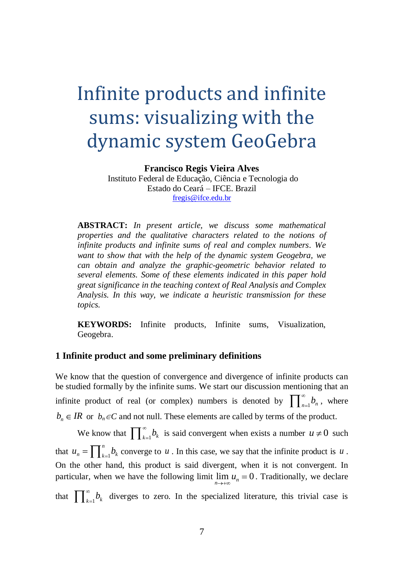# Infinite products and infinite sums: visualizing with the dynamic system GeoGebra

**Francisco Regis Vieira Alves**

Instituto Federal de Educação, Ciência e Tecnologia do Estado do Ceará – IFCE. Brazil [fregis@ifce.edu.br](mailto:fregis@ifce.edu.br)

**ABSTRACT:** *In present article, we discuss some mathematical properties and the qualitative characters related to the notions of infinite products and infinite sums of real and complex numbers. We want to show that with the help of the dynamic system Geogebra, we can obtain and analyze the graphic-geometric behavior related to several elements. Some of these elements indicated in this paper hold great significance in the teaching context of Real Analysis and Complex Analysis. In this way, we indicate a heuristic transmission for these topics.* 

**KEYWORDS:** Infinite products, Infinite sums, Visualization, Geogebra.

## **1 Infinite product and some preliminary definitions**

We know that the question of convergence and divergence of infinite products can be studied formally by the infinite sums. We start our discussion mentioning that an infinite product of real (or complex) numbers is denoted by  $\prod_{n=1}^{\infty} b_n$ , where  $b_n \in IR$  or  $b_n \in C$  and not null. These elements are called by terms of the product.

We know that  $\prod_{k=1}^{\infty} b_k$  is said convergent when exists a number  $u \neq 0$  such that  $u_n = \prod_{k=1}^n$ *n*  $u_n = \prod_{k=1}^{n} b_k$  converge to *u*. In this case, we say that the infinite product is *u*. On the other hand, this product is said divergent, when it is not convergent. In particular, when we have the following limit  $\lim_{n \to \infty} u_n = 0$ . Traditionally, we declare that  $\int_{k=1}^{\infty} b_k$  diverges to zero. In the specialized literature, this trivial case is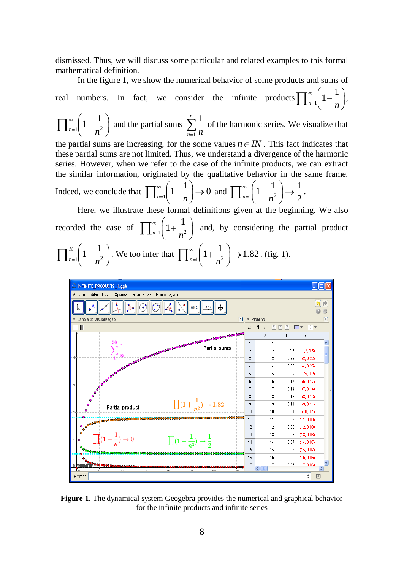dismissed. Thus, we will discuss some particular and related examples to this formal mathematical definition.

In the figure 1, we show the numerical behavior of some products and sums of real numbers. In fact, we consider the infinite products  $\prod_{n=1}^{\infty}$  $1 - \frac{1}{2}$  $n=1$  *n* ,

$$
\prod_{n=1}^{\infty} \left(1 - \frac{1}{n^2}\right)
$$
 and the partial sums  $\sum_{n=1}^{n} \frac{1}{n}$  of the harmonic series. We visualize that

the partial sums are increasing, for the some values  $n \in IN$ . This fact indicates that these partial sums are not limited. Thus, we understand a divergence of the harmonic series. However, when we refer to the case of the infinite products, we can extract the similar information, originated by the qualitative behavior in the same frame.

Indeed, we conclude that 
$$
\prod_{n=1}^{\infty} \left(1 - \frac{1}{n}\right) \to 0
$$
 and  $\prod_{n=1}^{\infty} \left(1 - \frac{1}{n^2}\right) \to \frac{1}{2}$ .

Here, we illustrate these formal definitions given at the beginning. We also recorded the case of  $\int_{n=1}^{\infty} \left| 1 + \frac{1}{n^2} \right|$  $1 + \frac{1}{2}$  $n=1$  *n* and, by considering the partial product  $1 \frac{1}{n^2}$  $\binom{k}{1} + \frac{1}{2}$  $n=1$  *n* . We too infer that  $\prod_{n=1}^{\infty} \left| 1 + \frac{1}{n^2} \right|$  $1+\frac{1}{2}$   $\rightarrow$  1.82  $n=1$   $n$ . (fig. 1).



**Figure 1.** The dynamical system Geogebra provides the numerical and graphical behavior for the infinite products and infinite series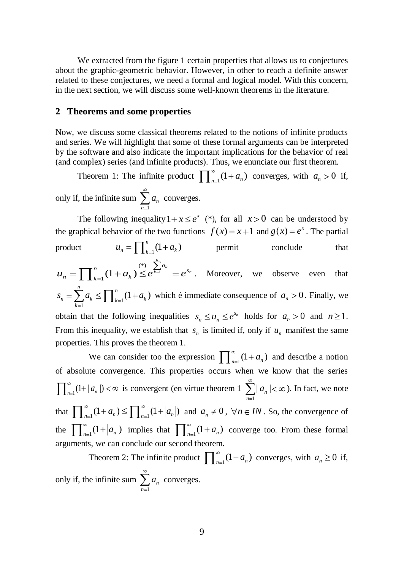We extracted from the figure 1 certain properties that allows us to conjectures about the graphic-geometric behavior. However, in other to reach a definite answer related to these conjectures, we need a formal and logical model. With this concern, in the next section, we will discuss some well-known theorems in the literature.

## **2 Theorems and some properties**

Now, we discuss some classical theorems related to the notions of infinite products and series. We will highlight that some of these formal arguments can be interpreted by the software and also indicate the important implications for the behavior of real (and complex) series (and infinite products). Thus, we enunciate our first theorem.

Theorem 1: The infinite product  $\int_{0}^{\infty} (1 + a_n)$  converges, with  $a_n > 0$  if, only if, the infinite sum  $\sum a_n$  converges. 1 *n*

The following inequality  $1 + x \le e^x$  (\*), for all  $x > 0$  can be understood by the graphical behavior of the two functions  $f(x) = x + 1$  and  $g(x) = e^x$ . The partial

product 
$$
u_n = \prod_{k=1}^n (1 + a_k)
$$
 permit conclude that  
\n
$$
u_n = \prod_{k=1}^n (1 + a_k) \le e^{\sum_{k=1}^n a_k} = e^{s_n}.
$$
 Moreover, we observe even that

 $\mathbf{1}^{k} = \mathbf{1} \mathbf{1}_{k=1}$  $a_n = \sum_{k=1}^n a_k \le \prod_{k=1}^n (1 + a_k)$  $s_n = \sum_{k=1}^n a_k \le \prod_{k=1}^n (1 + a_k)$  which é immediate consequence of  $a_n > 0$ . Finally, we obtain that the following inequalities  $s_n \le u_n \le e^{s_n}$  holds for  $a_n > 0$  and  $n \ge 1$ . From this inequality, we establish that  $s_n$  is limited if, only if  $u_n$  manifest the same properties. This proves the theorem 1.

We can consider too the expression  $\prod_{n=1}^{\infty} (1 + a_n)$  and describe a notion of absolute convergence. This properties occurs when we know that the series  $\int_{n=1}^{\infty}$  (1+ |  $a_n$  |) <  $\infty$  is convergent (en virtue theorem 1 1  $|a_{n}|$ *n*  $a_n$  |  $< \infty$  ). In fact, we note that  $\prod_{n=1}^{\infty} (1 + a_n) \le \prod_{n=1}^{\infty} (1 + |a_n|)$  and  $a_n \ne 0$ ,  $\forall n \in IN$ . So, the convergence of the  $\prod_{n=1}^{\infty} (1+|a_n|)$  implies that  $\prod_{n=1}^{\infty} (1+a_n)$  converge too. From these formal arguments, we can conclude our second theorem.

Theorem 2: The infinite product  $\prod_{n=1}^{\infty} (1 - a_n)$  converges, with  $a_n \ge 0$  if, only if, the infinite sum 1 *n n*  $a_n$  converges.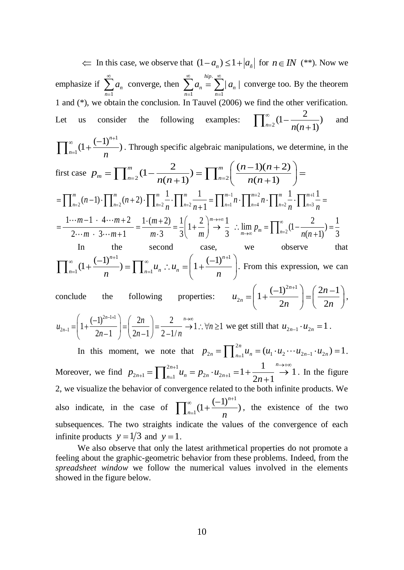In this case, we observe that  $(1 - a_n) \leq 1 + |a_n|$  for  $n \in IN$  (\*\*). Now we emphasize if 1 *n n*  $a_n$  converge, then . 1  $n=1$  $\sum_{n=1}^{hip.} \sum_{n=1}^{\infty} |a_n|$  $n - \sum u_n$  $n=1$   $n$  $a_n = \sum |a_n|$  converge too. By the theorem 1 and (\*), we obtain the conclusion. In Tauvel (2006) we find the other verification. Let us consider the following examples: 2  $(1-\frac{2}{\sqrt{2}})$  $n=2$ <sup>(1)</sup>  $\frac{n(n+1)}{n(n+1)}$ and 1  $\frac{(-1)^{n+1}}{n}$  $n=1$   $\qquad$   $n$ Through specific algebraic manipulations, we determine, in the<br>  $\binom{m}{n} (1 - \frac{2}{n}) = \prod_{n=1}^{n} \left( \frac{(n-1)(n+2)}{2} \right) =$ first case hrough specific algebraic manipulations, we  $\binom{n}{2}(1-\frac{2}{n(n+1)}) = \prod_{n=2}^{m} \left(\frac{(n-1)(n+2)}{n(n+1)}\right)$  $\sum_{n=2}^{m} (1 - \frac{2}{n(n+1)}) = \prod_{n=2}^{m} \left( \frac{(n-1)(n+1)}{n(n+1)} \right)$  $p_m = \prod_{n=2}^m (1 - \frac{2}{n(n+1)}) = \prod_{n=1}^n$ *n*<br>  $P_m = \prod_{n=2}^m (1 - \frac{2}{n(n+1)}) = \prod_{n=2}^m \left( \frac{(n-1)(n+2)}{n(n+1)} \right) =$ <br>  $(n-1) \cdot \prod_{n=2}^m (n+2) \cdot \prod_{n=2}^m \frac{1}{n} \cdot \prod_{n=2}^m \frac{1}{n+1} = \prod_{n=1}^{m-1} n \cdot \prod_{n=2}^{m+2} n \cdot \prod_{n=2}^m \frac{1}{n} \cdot \prod_{n=3}^{m+1} \frac{1}{n}$  $\begin{pmatrix} n(n+1) \end{pmatrix}$ <br> $\begin{pmatrix} 1 \\ n \end{pmatrix}$ .  $\prod^{m+2} n \cdot \prod^{m} \frac{1}{n} \cdot \prod^{m+1}$  $\sum_{n=2}^{\infty} (n-1) \cdot \prod_{n=2}^{m} (n+2) \cdot \prod_{n=2}^{m} \frac{1}{n} \cdot \prod_{n=2}^{m} \frac{1}{n+1} = \prod_{n=1}^{m-1} n \cdot \prod_{n=4}^{m+2} n \cdot \prod_{n=2}^{m} \frac{1}{n} \cdot \prod_{n=3}^{m+1} \prod_{n=4}^{m}$  $\prod_{n=2}^{m} (n-1) \cdot \prod_{n=2}^{m} (n+2) \cdot \prod_{n=2}^{m} \frac{1}{n} \cdot \prod_{n=2}^{m} \frac{1}{n+1} = \prod_{n=1}^{m-1} n \cdot \prod_{n=4}^{m+2} n \cdot \prod_{n=2}^{m} \frac{1}{n} \cdot \prod_{n=3}^{m+1} \frac{1}{n} = \frac{1 \cdot (m+2)}{2 \cdot m} = \frac{1 \cdot (m+2)}{m \cdot 3} = \frac{1}{3} \left( 1 + \frac{2}{m} \right)^{m \rightarrow +\infty} \frac{1}{3}$   $\frac{1}{2 \cdots m} \cdot \frac{(n-1)!}{1} \cdot \frac{1}{1} \cdot \frac{(n+2)!}{1} \cdot \frac{1}{1} \cdot \frac{1}{1} \cdot \frac{1}{1} \cdot \frac{1}{2} \cdot \frac{1}{n+1} = \frac{1}{2} \cdot \frac{1}{1} \cdot \frac{1}{1} \cdot \frac{1}{1} \cdot \frac{1}{1} \cdot \frac{1}{1} \cdot \frac{1}{1} \cdot \frac{1}{1} \cdot \frac{1}{1} \cdot \frac{1}{1} \cdot \frac{1}{1} \cdot \frac{1}{1} \cdot \frac{1}{1} \cdot \frac{1}{1} \cdot \frac$  $n(n+1)$   $\begin{bmatrix} 1 & n \\ n+1 & n \end{bmatrix}$   $\begin{bmatrix} n(n+1) \\ n(n+1) \end{bmatrix}$   $\begin{bmatrix} n(n+1) \\ n(n+1) \end{bmatrix}$  $\prod_{n=2}^{m} (n-1) \cdot \prod_{n=2}^{m} (n+2) \cdot \prod_{n=2}^{m} \frac{1}{n} \cdot \prod_{n=2}^{m} \frac{1}{n+1} = \prod_{n=1}^{m-1} n \cdot \prod_{n=4}^{m+2} n \cdot \prod_{n=2}^{m} \frac{1}{n} \cdot \prod_{n=1}^{m} \prod_{n=1}^{m}$ *m*  $\prod_{n=2}^{m} (n-1) \cdot \prod_{n=2}^{m} (n+2) \cdot \prod_{n=2}^{m} \frac{1}{n} \cdot \prod_{n=2}^{m} \frac{1}{n+1} = \prod_{n=1}^{m-1} n \cdot \prod_{n=4}^{m+2} n \cdot \prod_{n=4}^{m} \frac{1}{n+1}$ <br>  $\frac{m-1 \cdot 4 \cdots m+2}{m \cdot 3 \cdots m+1} = \frac{1 \cdot (m+2)}{m \cdot 3} = \frac{1}{3} \left( 1 + \frac{2}{m} \right)^{m \rightarrow +\infty} \frac{1}{3}$   $\therefore$  $\overline{n+1}$ ) =  $\prod_{n=2}^{n} \frac{1}{n(n+1)}$  =  $\frac{1}{n!}$ <br> $\frac{1}{n}$   $\cdot \prod_{n=2}^{m} \frac{1}{n+1}$  =  $\prod_{n=1}^{m-1} n \cdot \prod_{n=4}^{m+2} n \cdot \prod_{n=2}^{m} \frac{1}{n} \cdot \prod_{n=3}^{m+1} \frac{1}{n}$ *m*-1)  $\[\prod_{n=2} (n+2) \cdot \prod_{n=2} n \cdot \prod_{n=2} n + 1 \cdot \prod_{n=1} n \cdot \prod_{n=4} n \cdot \prod_{n=2} n \cdot \prod_{n=2} n \cdot \prod_{n=2} n\]$ <br>  $\frac{-1 \cdot 4 \cdots m + 2}{m \cdot 3 \cdots m + 1} = \frac{1 \cdot (m+2)}{m \cdot 3} = \frac{1}{3} \left( 1 + \frac{2}{m} \right)^{m \to +\infty} \frac{1}{3}$   $\therefore \lim_{m \to \infty} p_m = \prod_{n=2}^{\infty} (1$ In the second case, we observe that he second case,<br> $\begin{pmatrix} 1 & -\infty & (1)^{n+1} \end{pmatrix}$ In the second case,<br>  $\frac{1}{n}(1+\frac{(-1)^{n+1}}{n}) = \prod_{n=1}^{\infty} u_n \therefore u_n = \left(1+\frac{(-1)^n}{n}\right)$ In the second<br>  $\sum_{n=1}^{\infty} (1 + \frac{(-1)^{n+1}}{n}) = \prod_{n=1}^{\infty} u_n \therefore u_n$  $\frac{(n-1)^{n+1}}{n}$ ) =  $\prod_{n=1}^{\infty} u_n$   $\therefore$   $u_n = \left(1 + \frac{(-1)^n}{n}\right)$ . From this expression, we can conclude the following properties:  $2n+1$  $\sum_{n=2n}^{\infty}$  =  $\left(1+\frac{(-1)^{2n+1}}{2n}\right)$  =  $\left(\frac{2n-1}{2n}\right)$  $\left(\frac{1}{2n}\right) = \left(\frac{2n}{2}\right)$ *n n*  $u_{2n} = \left(1 + \frac{(-1)^{2n+1}}{2n}\right) = \left(\frac{2n-1}{2n}\right),$  $2n-1+1$  $\sum_{n=1}^{\infty} = \left(1 + \frac{(-1)^{2n-1+1}}{2n-1}\right) = \left(\frac{2n}{2n-1}\right) = \frac{2}{2-1/n} \to 1: \forall n \ge 1$  $\left(\frac{-1}{2n-1}\right)^{2n-1+1}$   $=\left(\frac{2n}{2n-1}\right) = \frac{2}{2-1/n}$ *n n*  $u_{2n-1} = \left(1 + \frac{(-1)^{2n-1+1}}{2n-1}\right) = \left(\frac{2n}{2n-1}\right) = \frac{2}{2-1/n} \to 1$ .  $\forall n$  $\left(\frac{1}{n-1}\right)^{2n-1+1}$  =  $\left(\frac{2n}{2n-1}\right)$  =  $\frac{2}{2-1/n}$ we get still that  $u_{2n-1} \cdot u_{2n} = 1$ . In this moment, we note that  $p_{2n} = \prod_{n=1}^{2n} u_n = (u_1 \cdot u_2 \cdots u_{2n-1} \cdot u_{2n}) = 1$ . Moreover, we find  $p_{2n+1} = \prod_{n=1}^{2n+1}$  $u_{2n+1} = \prod_{n=1}^{2n+1} u_n = p_{2n} \cdot u_{2n+1} = 1 + \frac{1}{2n}$  $1 + \frac{1}{2n+1} \to 1$  $p_{2n+1} = \prod_{n=1}^{2n+1} u_n = p_{2n} \cdot u_{2n+1} = 1 + \frac{1}{2n+1}$ <br> *n* . In the figure 2, we visualize the behavior of convergence related to the both infinite products. We

also indicate, in the case of 1  $\frac{(-1)^{n+1}}{n}$  $n=1$  *n* , the existence of the two subsequences. The two straights indicate the values of the convergence of each infinite products  $y = 1/3$  and  $y = 1$ .

We also observe that only the latest arithmetical properties do not promote a feeling about the graphic-geometric behavior from these problems. Indeed, from the *spreadsheet window* we follow the numerical values involved in the elements showed in the figure below.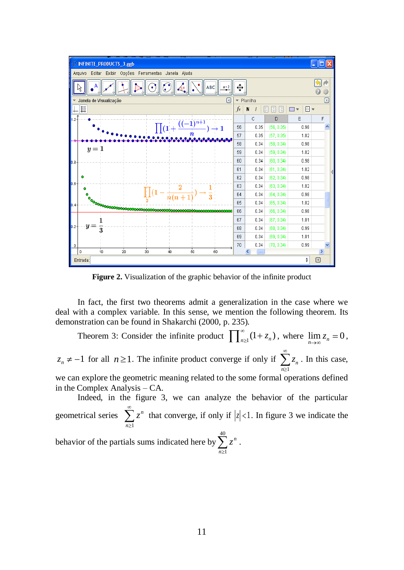

**Figure 2.** Visualization of the graphic behavior of the infinite product

In fact, the first two theorems admit a generalization in the case where we deal with a complex variable. In this sense, we mention the following theorem. Its demonstration can be found in Shakarchi (2000, p. 235).

Theorem 3: Consider the infinite product  $\prod_{n\geq 1}^{\infty} (1+z_n)$ , where  $\lim_{n\to\infty} z_n = 0$ ,  $z_n \neq -1$  for all  $n \geq 1$ . The infinite product converge if only if 1 *n n*  $z_n$ . In this case, we can explore the geometric meaning related to the some formal operations defined in the Complex Analysis – CA. Indeed, in the figure 3, we can analyze the behavior of the particular

geometrical series 1 *n n*  $z^n$  that converge, if only if  $|z| < 1$ . In figure 3 we indicate the

behavior of the partials sums indicated here by  $\sum_{n=1}^{40} z^n$ . 1 *n*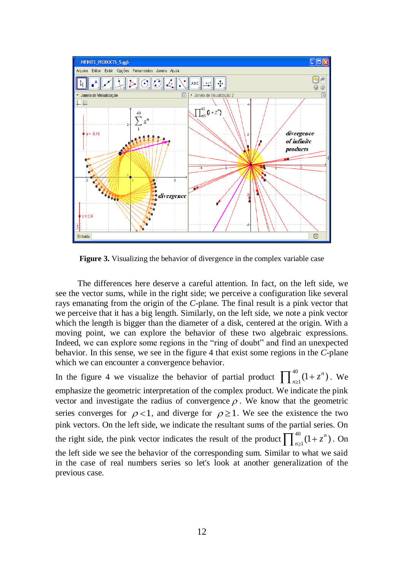

**Figure 3.** Visualizing the behavior of divergence in the complex variable case

The differences here deserve a careful attention. In fact, on the left side, we see the vector sums, while in the right side; we perceive a configuration like several rays emanating from the origin of the *C*-plane. The final result is a pink vector that we perceive that it has a big length. Similarly, on the left side, we note a pink vector which the length is bigger than the diameter of a disk, centered at the origin. With a moving point, we can explore the behavior of these two algebraic expressions. Indeed, we can explore some regions in the "ring of doubt" and find an unexpected behavior. In this sense, we see in the figure 4 that exist some regions in the *C*-plane which we can encounter a convergence behavior.

In the figure 4 we visualize the behavior of partial product  $\prod_{i=1}^{40}$  $\sum_{n\geq 1}^{40} (1 + z^n)$ . We emphasize the geometric interpretation of the complex product. We indicate the pink vector and investigate the radius of convergence  $\rho$ . We know that the geometric series converges for  $\rho < 1$ , and diverge for  $\rho \ge 1$ . We see the existence the two pink vectors. On the left side, we indicate the resultant sums of the partial series. On the right side, the pink vector indicates the result of the product  $\prod_{i=1}^{40}$  $\sum_{n\geq 1}^{40} (1 + z^n)$ . On the left side we see the behavior of the corresponding sum. Similar to what we said in the case of real numbers series so let's look at another generalization of the previous case.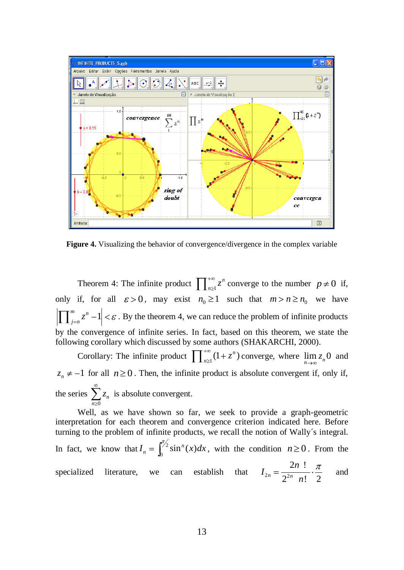

**Figure 4.** Visualizing the behavior of convergence/divergence in the complex variable

Theorem 4: The infinite product  $\prod_{n\geq 1}$ *n*  $\sum_{n\geq 1}^{\infty} z^n$  converge to the number  $p \neq 0$  if, only if, for all  $\varepsilon > 0$ , may exist  $n_0 \ge 1$  such that  $m > n \ge n_0$  we have  $\int_{1}^{m} z^n - 1$  $\left| \sum_{j=n}^{n} z^{n} - 1 \right| < \varepsilon$ . By the theorem 4, we can reduce the problem of infinite products by the convergence of infinite series. In fact, based on this theorem, we state the following corollary which discussed by some authors (SHAKARCHI, 2000).

Corollary: The infinite product  $\prod_{n\geq 1}^{+\infty} (1+z^n)$  converge, where  $\lim_{n\to\infty} z_n$  and  $z_n \neq -1$  for all  $n \geq 0$ . Then, the infinite product is absolute convergent if, only if, the series  $\mathbf{0}$ *n n z* is absolute convergent.

Well, as we have shown so far, we seek to provide a graph-geometric interpretation for each theorem and convergence criterion indicated here. Before turning to the problem of infinite products, we recall the notion of Wally´s integral. In fact, we know that  $I_n = \binom{72}{2}$  $I_n = \int_0^{\pi/2} \sin^n(x) dx$ , with the condition  $n \ge 0$ . From the specialized literature, we can establish  $2n - 2$  $2n$ !  $\frac{n}{2^{2n}}$  n! 2 *n I n* and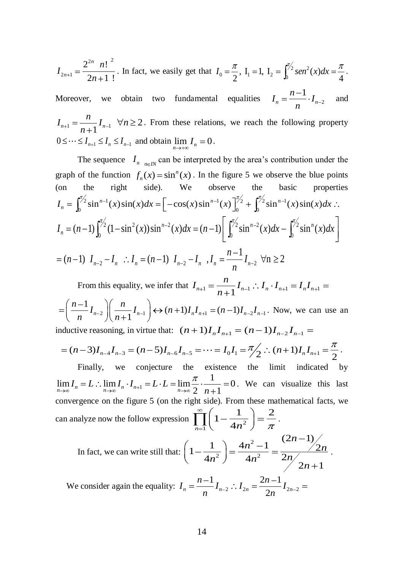$$
I_{2n+1} = \frac{2^{2n} n!^2}{2n+1!}
$$
. In fact, we easily get that  $I_0 = \frac{\pi}{2}$ ,  $I_1 = 1$ ,  $I_2 = \int_0^{\pi/2} \sin^2(x) dx = \frac{\pi}{4}$ .

Moreover, we obtain two fundamental equalities  $I_n = \frac{n-1}{n-2} \cdot I_{n-2}$ 1  $n - 1$  $I_n = \frac{n-1}{\cdot} I$ *n* and  $n+1$   $\binom{n+1}{n+1}$  $I_{n+1} = \frac{n}{I} I$ *n*  $n \geq 2$ . From these relations, we reach the following property  $0 \leq \cdots \leq I_{n+1} \leq I_n \leq I_{n-1}$  and obtain  $\lim_{n \to \infty} I_n = 0$ .

The sequence  $I_{n_{\text{max}}}$  can be interpreted by the area's contribution under the graph of the function  $f_n(x) = \sin^n(x)$ . In the figure 5 we observe the blue points (on the right side). We observe the basic properties the right side). We observe the ba<br>  $2 \sin^{n-1}(x) \sin(x) dx = \left[ -\cos(x) \sin^{n-1}(x) \right]^{1/2} + \int^{1/2} \sin^{n-1}(x) dx$ graph of the function  $f_n(x) = \sin^n(x)$ . In the figure 5 we observe the blue p<br>
(on the right side). We observe the basic prope<br>  $I_n = \int_0^{\pi/2} \sin^{n-1}(x) \sin(x) dx = \left[ -\cos(x) \sin^{n-1}(x) \right]_0^{\pi/2} + \int_0^{\pi/2} \sin^{n-1}(x) \sin(x) dx$  $\int_{2}^{2} (1 - \sin^{2}(x)) \sin^{n-2}(x) dx = (n-1) \left[ \int_{2}^{\pi/2} \sin^{n-2}(x) dx - \int_{2}^{\pi/2} \sin^{n-2}(x) dx \right]$  $\int_0^{\pi/2} \sin^{n-1}(x) \sin(x) dx = \left[ -\cos(x) \sin^{n-1}(x) \right]_0^{\pi/2} + \int_0^{\pi/2} \sin^{n-1}(x) \sin(x) dx$ <br>  $(n-1) \int_0^{\pi/2} (1 - \sin^2(x)) \sin^{n-2}(x) dx = (n-1) \left[ \int_0^{\pi/2} \sin^{n-2}(x) dx - \int_0^{\pi/2} \sin^n(x) dx \right]$  $= (n-1) \int_0^{r_2} (1 - \sin^2(x)) \sin^{n-2}(x) dx = (n-1) \left[ \int_0^{r_2} \sin^{n-2}(x) dx - (n-1) I_{n-2} - I_n \right]$   $\therefore I_n = (n-1) I_{n-2} - I_n$   $\therefore I_n = \frac{n-1}{n} I_{n-2}$   $\forall n \ge 2$  $I_n = \int_0^{\pi/2} \sin^{n-1}(x) \sin(x) dx = \left[ -\cos(x) \sin^{n-1}(x) \right]_0^{\pi/2} + \int_0^{\pi/2} \sin^{n-1}(x) \sin(x) dx$ <br>  $I_n = (n-1) \int_0^{\pi/2} (1 - \sin^2(x)) \sin^{n-2}(x) dx = (n-1) \left[ \int_0^{\pi/2} \sin^{n-2}(x) dx - \int_0^{\pi/2} \sin^n(x) dx \right]$  $= (n-1) \int_0^{2\pi} (1 - \sin^2(x)) \sin^{n-2}(x) dx = (n-1) \left[ \int_0^{2\pi} \sin(n-1) \right]$ <br>  $I_{n-2} - I_n$   $\therefore I_n = (n-1) I_{n-2} - I_n$   $I_n = \frac{n-1}{n} I_n$ 

 $I_{n-2} - I_{n}$  :  $I_{n} = (n-1) I_{n-2} - I_{n}$ ,  $I_{n} = \frac{n-1}{n} I_{n-2}$ 

From this equality, we infer that  $I_{n+1} = \frac{n}{n+1} I_{n-1} : I_n \cdot I_{n+1} = I_n I_{n+1}$  $\frac{1}{n}I_{n-2}\left(\frac{n}{n+1}I_{n-1}\right) \leftrightarrow (n+1)I_nI_{n+1} = (n-1)I_{n-2}I_{n-1}$ From this equality, we infer that  $I_{n+1} = \frac{n}{n+1} I_{n-1}$ :<br>  $\frac{n-1}{n} I_{n-2} \left( \frac{n}{n+1} I_{n-1} \right) \leftrightarrow (n+1) I_n I_{n+1} = (n-1) I_{n-2} I_n$  $\left(\frac{-1}{n}\right)I_{n-2}\bigg)\bigg(\frac{-1}{n}\bigg)$ . Now, we can use an

inductive reasoning, in virtue that: 
$$
(n+1)I_nI_{n+1} = (n-1)I_{n-2}I_{n-1} =
$$
  
=  $(n-3)I_{n-4}I_{n-3} = (n-5)I_{n-6}I_{n-5} = \cdots = I_0I_1 = \frac{\pi}{2} \therefore (n+1)I_nI_{n+1} = \frac{\pi}{2}$ .

Finally, we conjecture the existence the limit indicated by 1 1 Finally, we conjecture the existence<br>  $\lim_{n\to\infty} I_n = L : \lim_{n\to\infty} I_n \cdot I_{n+1} = L \cdot L = \lim_{n\to\infty} \frac{\pi}{2} \cdot \frac{1}{n+1} = 0$ Finally, we conjecture the exist<br>  $\lim_{n \to \infty} I_n = L : \lim_{n \to \infty} I_n \cdot I_{n+1} = L \cdot L = \lim_{n \to \infty} \frac{\pi}{2} \cdot \frac{1}{n+1}$ . We can visualize this last convergence on the figure 5 (on the right side). From these mathematical facts, we can analyze now the follow expression  $\prod_{n=1}^{\infty} \left(1 - \frac{1}{4n^2}\right)$  $\left(1-\frac{1}{1-\frac{2}{\sqrt{2}}} \right) = \frac{2}{\sqrt{2}}$  $\prod_{n=1}$   $\left(1-\frac{1}{4n^2}\right) = \frac{2}{\pi}$ .  $\int \pi$ <br>2 - 1 (2n-1)  $\left(\frac{n+1}{2}\right) = \frac{4n^2-1}{2} = \frac{(2n-1)}{2}$ *n* .

In fact, we can write still that: 
$$
\left(1 - \frac{1}{4n^2}\right) = \frac{4n^2 - 1}{4n^2} = \frac{(2n - 1)}{2n} \times \frac{2n}{2n + 1}
$$
  
\nWe consider again the equality:  $I = \frac{n-1}{2}I$ ,  $I = \frac{2n-1}{2}I$ 

We consider again the equality:  $I_n = \frac{n-1}{n} I_{n-2}$  :  $I_{2n} = \frac{2n-1}{2n} I_{2n-2}$  $I_n = \frac{n-1}{n} I_{n-2}$  :  $I_{2n} = \frac{2n-1}{2n} I_{2n}$  $\frac{-1}{n}I_{n-2}$  :  $I_{2n} = \frac{2n-2}{2n}$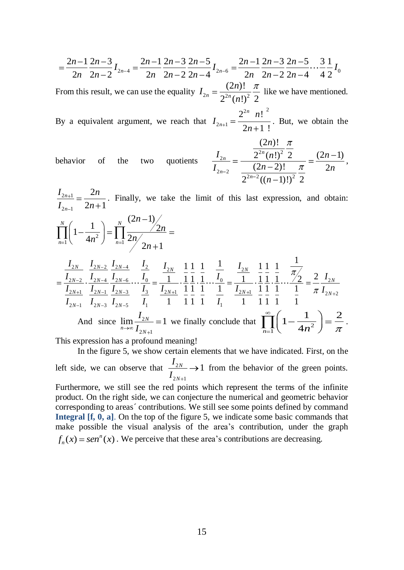$$
=\frac{2n-1}{2n}\frac{2n-3}{2n-2}I_{2n-4}=\frac{2n-1}{2n}\frac{2n-3}{2n-2}\frac{2n-5}{2n-4}I_{2n-6}=\frac{2n-1}{2n}\frac{2n-3}{2n-2}\frac{2n-5}{2n-4}\cdots\frac{3}{4}\frac{1}{2}I_{0}
$$
\n(2n) 1/7

From this result, we can use the equality  $I_{2n} = \frac{\sqrt{2n}}{2^{2n} (n!)^2}$  $(2n)!$  $n - 2^{2n} (n!)^2$  2  $I_{2n} = \frac{(2n)}{e^{2n}h}$ *n* like we have mentioned.

By a equivalent argument, we reach that 2n  $n^2$  $2n+1$  $2^{2n} n!$  $2n + 1$  ! *n n n I n* . But, we obtain the  $\frac{1!}{(2n)!}$ 

behavior of the two quotients 
$$
\frac{I_{2n}}{I_{2n-2}} = \frac{\frac{(2n)!}{2^{2n}(n!)^2} \frac{\pi}{2}}{\frac{(2n-2)!}{2^{2n-2}((n-1)!)^2} \frac{\pi}{2}} = \frac{(2n-1)}{2n},
$$

 $2n+1$  $2n-1$ 2  $2n + 1$ *n n*  $I_{2n+1}$  2*n*  $I_{2n-1}$  2*n* . Finally, we take the limit of this last expression, and obtain:  $\prod_{n=1}^{\infty}$   $\binom{4n^2}{n}$   $\prod_{n=1}^{\infty}$  $(2n-1)$  $\left(1-\frac{1}{4n^2}\right) = \prod_{n=1}^{N} \frac{2n}{2n} \frac{2n}{2n+1}$  $\frac{N}{N}$  (1)  $\frac{N}{N}$  $\prod_{n=1}^{\mathbf{n}}$   $\binom{n^2}{n^2}$   $\prod_{n=1}^{\mathbf{n}}$ *n n*  $n^2$   $\int_{ }^{ }$   $\prod_{n=1}$   $2n$ *n*  $\frac{I_{2N-2}}{I} \frac{I_{2N-2}}{I} \frac{I_{2N-4}}{I} \frac{I_2}{I} \frac{I_{2N}}{I} \frac{1}{I} \frac{1}{I} \frac{1}{I} \frac{I_2}{I} \frac{I_2}{I}$  $\frac{I_{2N}}{I_{2N-2}} \cdot \frac{I_{2N-2}}{I_{2N-4}} \cdot \frac{I_{2N-4}}{I_{2N-6}} \cdot \frac{I_2}{I_0} = \frac{I_{2N}}{1} \cdot \frac{1}{1} \cdot \frac{1}{1} \cdot \frac{1}{1} \cdot \frac{1}{1} \cdot \frac{I_{2N}}{I_0} = \frac{I_{2N}}{1} \cdot \frac{1}{1} \cdot \frac{1}{1} \cdot \frac{1}{1} \cdot \frac{1}{1} \cdot \frac{I_2}{I_1} = \frac{2}{I_2} \cdot \frac{I_2}{I_2}$  $\frac{2N-2}{L_{2N+1}} \cdot \frac{I_{2N-4}}{I_{2N-1}} \cdot \frac{I_{2N-6}}{I_{2N-3}} \cdots \frac{I_0}{I_3} = \frac{1}{I_{2N+1}} \cdot \frac{1}{1} \cdot \frac{1}{1} \cdot \frac{1}{1} \cdots \frac{I_0}{1} = \frac{1}{I_{2N+1}} \cdot \frac{1}{1} \cdot \frac{1}{1} \cdot \frac{1}{1} \cdots \frac{1}{1} = \frac{2}{\pi} \frac{I_{2N}}{I_{2N+2}}$ 1  $\frac{1}{1}$   $\frac{1}{1}$   $\frac{1}{1}$   $\frac{1}{1}$   $\frac{1}{1}$   $\frac{1}{1}$   $\frac{1}{1}$   $\frac{1}{1}$   $\frac{1}{1}$  $\frac{2N}{1} \cdot \frac{1}{1} \cdot \frac{1}{1} \cdot \frac{1}{1} \cdot \cdots \frac{1}{1} = \frac{I_{2N}}{I_{2N1}} \cdot \frac{1}{1} \cdot \frac{1}{1} \cdot \frac{1}{1} \cdot \cdots \frac{1}{1} = \frac{2}{\pi}$  $\frac{1}{1}$   $\frac{1}{1}$   $\frac{1}{1}$   $\frac{1}{1}$   $\frac{1}{1}$   $\frac{1}{1}$   $\frac{1}{1}$   $\frac{1}{1}$   $\frac{1}{1}$   $\frac{1}{1}$   $\frac{1}{1}$   $\frac{1}{1}$   $\frac{1}{1}$   $\frac{1}{1}$   $\frac{1}{1}$   $\frac{1}{1}$   $\frac{1}{1}$   $\frac{1}{1}$   $\frac{1}{1}$   $\frac{1}{1}$   $\frac{1}{1}$   $\frac{1}{1}$   $\frac{\frac{2N}{1}}{1} \cdot \frac{\frac{1}{1}}{1} \cdot \frac{\frac{1}{1}}{1} \cdot \frac{\frac{1}{1}}{1} \cdot \frac{\frac{1}{1}}{1} \cdot \frac{\frac{1}{1}}{1} \cdot \frac{\frac{1}{1}}{1} \cdot \frac{\frac{1}{1}}{1} \cdot \frac{\frac{1}{1}}{1} \cdot \frac{\frac{1}{1}}{1} \cdot \frac{\frac{1}{1}}{1} \cdot \frac{\frac{1}{1}}{1} \cdot \frac{\frac{1}{1}}{1} \cdot \frac{\frac{1}{1}}{1} \cdot \frac{\frac{1}{1}}{1} \cdot \frac{\frac{1}{1}}$ *N*  $I_{2N-2}$   $I_{2N-4}$   $I_{2}$   $I_{2}$   $I_{2N}$   $I_{2N}$   $I_{2N}$   $I_{2N}$   $I_{2N}$   $I_{2N}$   $I_{2N}$   $I_{2N}$  $\frac{I_{2N-2}}{I_{2N-4}}$ ,  $\frac{I_{2N-4}}{I_{2N-6}}$ ,  $\frac{I_2}{I_0}$   $\frac{I_{2N}}{I_1}$ ,  $\frac{1}{1}$ ,  $\frac{1}{1}$ ,  $\frac{1}{1}$ ,  $\frac{1}{1}$ ,  $\frac{I_{2N}}{I_0}$ ,  $\frac{1}{1}$ ,  $\frac{1}{1}$ ,  $\frac{1}{1}$ ,  $\frac{1}{1}$ ,  $\frac{1}{1}$ ,  $\frac{1}{1}$ ,  $\frac{1}{1}$ ,  $\frac{1}{1}$  $\frac{N-2}{N+1} \cdot \frac{I_{2N-4}}{I_{2N-1}} \cdot \frac{I_{2N-6}}{I_{2N-3}} \cdots \frac{I_0}{I_3} = \frac{1}{I_{2N+1}} \cdot \frac{1}{1} \cdot \frac{1}{1} \cdot \frac{1}{1} \cdots \frac{I_0}{I_2} = \frac{1}{I_{2N+1}} \cdot \frac{1}{1} \cdot \frac{1}{1} \cdot \frac{1}{1} \cdots \frac{I_2}{I_2} = \frac{2}{\pi} \frac{I_2}{I_{2N+1}}$  $\left(1-\frac{1}{4n^2}\right) = \prod_{n=1}^{\infty} \frac{1}{2n}$ <br> $\frac{I_{2N}}{I_{2N-2}} = \frac{I_{2N-4}}{I_{2N-4}} = \frac{I_{2N-4}}{I_{2N-4}}$  $I_{2N}$   $I_{1}$   $I_{1}$   $I_{1}$   $I_{1}$   $I_{2}$   $I_{2}$  $I_{2N}$   $I_{2N-2}$   $I_{2N-4}$   $I_{2N-4}$   $I_{2}$   $I_{2N}$   $I_{2N}$   $I_{2N}$   $I_{2N}$   $I_{2N-2}$   $I_{2N-4}$   $I_{2N-6}$   $I_{0}$   $I_{0}$   $I_{1}$   $I_{1}$   $I_{1}$   $I_{1}$   $I_{1}$   $I_{1}$   $I_{1}$   $I_{1}$   $I_{1}$   $I_{1}$   $I_{1}$   $I_{1}$   $I_{1}$   $I_{1}$   $I$  $\frac{I_{2N}}{I_{2N-2}}$ ,  $\frac{I_{2N-2}}{I_{2N-4}}$ ,  $\frac{I_{2N-4}}{I_{2N-5}}$ ,  $\frac{I_{2}}{I_{3}}$   $\frac{I_{2N}}{I_{3}}$ ,  $\frac{I_{2N}}{I_{3}}$ ,  $\frac{1}{I_{2N+1}}$ ,  $\frac{1}{1}$ ,  $\frac{1}{1}$ ,  $\frac{1}{1}$ ,  $\frac{1}{1}$ ,  $\frac{1}{1}$ ,  $\frac{1}{1}$ ,  $\frac{1}{1}$ ,  $\frac{1}{1}$ ,  $\frac{$  $\frac{I_{2N}}{I_{2N-1}}$ .  $\frac{I_{2N-2}}{I_{2N-1}}$ .  $\frac{I_{2N-4}}{I_{2N-3}}$   $\frac{I_{2N-6}}{I_{2N-3}}$ .  $\frac{I_{2N}}{I_{3}} = \frac{I_{2N}}{I_{2N+1}}$ .  $\frac{I_{1}}{1}$   $\frac{I_{1}}{1}$   $\frac{I_{2}}{1}$   $\cdots$   $\frac{I_{2N-1}}{I_{2N-1}}$   $\frac{I_{2N-3}}{I_{2N-5}}$   $\frac{I_{3}}{I_{1}} = \$ 

$$
\frac{I_{2N+1}}{I_{2N-1}} \frac{I_{2N-1}}{I_{2N-3}} \frac{I_{2N-3}}{I_{2N-5}} \frac{I_3}{I_1} \frac{I_{2N+1}}{1} \frac{1}{1} \frac{1}{1} \frac{1}{1} \frac{1}{1} \frac{1}{I_1} \frac{I_{2N+1}}{1} \frac{1}{1} \frac{1}{1} \frac{1}{1} \frac{1}{1} \frac{1}{1} \frac{1}{1} \frac{1}{1} \frac{1}{1} \frac{1}{1} \frac{1}{1} \frac{1}{1} \frac{1}{1} \frac{1}{1} \frac{1}{1} \frac{1}{1} \frac{1}{1} \frac{1}{1} \frac{1}{1} \frac{1}{1} \frac{1}{1} \frac{1}{1} \frac{1}{1} \frac{1}{1} \frac{1}{1} \frac{1}{1} \frac{1}{1} \frac{1}{1} \frac{1}{1} \frac{1}{1} \frac{1}{1} \frac{1}{1} \frac{1}{1} \frac{1}{1} \frac{1}{1} \frac{1}{1} \frac{1}{1} \frac{1}{1} \frac{1}{1} \frac{1}{1} \frac{1}{1} \frac{1}{1} \frac{1}{1} \frac{1}{1} \frac{1}{1} \frac{1}{1} \frac{1}{1} \frac{1}{1} \frac{1}{1} \frac{1}{1} \frac{1}{1} \frac{1}{1} \frac{1}{1} \frac{1}{1} \frac{1}{1} \frac{1}{1} \frac{1}{1} \frac{1}{1} \frac{1}{1} \frac{1}{1} \frac{1}{1} \frac{1}{1} \frac{1}{1} \frac{1}{1} \frac{1}{1} \frac{1}{1} \frac{1}{1} \frac{1}{1} \frac{1}{1} \frac{1}{1} \frac{1}{1} \frac{1}{1} \frac{1}{1} \frac{1}{1} \frac{1}{1} \frac{1}{1} \frac{1}{1} \frac{1}{1} \frac{1}{1} \frac{1}{1} \frac{1}{1} \frac{1}{1} \frac{1}{1} \frac{1}{1} \frac{1}{1} \frac{1}{1} \frac{1}{1} \frac{1}{1} \frac{1}{1} \frac{1}{1} \frac{1}{1} \frac
$$

This expression has a profound meaning!

In the figure 5, we show certain elements that we have indicated. First, on the left side, we can observe that  $\frac{12}{1}$  $2N + 1$  $\frac{N}{\sim}$   $\rightarrow$  1 *N I I* from the behavior of the green points.

Furthermore, we still see the red points which represent the terms of the infinite product. On the right side, we can conjecture the numerical and geometric behavior corresponding to areas´ contributions. We still see some points defined by command **Integral [f, 0, a]**. On the top of the figure 5, we indicate some basic commands that make possible the visual analysis of the area's contribution, under the graph  $f_n(x) = \text{sen}^n(x)$ . We perceive that these area's contributions are decreasing.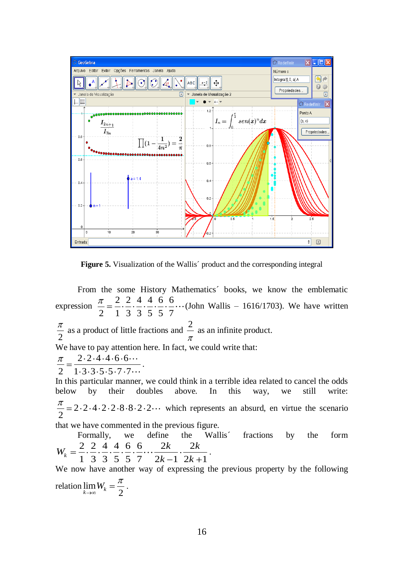

**Figure 5.** Visualization of the Wallis' product and the corresponding integral

From the some History Mathematics´ books, we know the emblematic expression  $\frac{\pi}{2} = \frac{2}{2} \cdot \frac{2}{2} \cdot \frac{4}{2} \cdot \frac{4}{2} \cdot \frac{6}{2} \cdot \frac{6}{2}$  $\frac{\pi}{2} = \frac{2}{1} \cdot \frac{3}{3} \cdot \frac{1}{3} \cdot \frac{3}{5} \cdot \frac{5}{5} \cdot \frac{5}{7} \cdots$  (John Wallis – 1616/1703). We have written 2 as a product of little fractions and  $\frac{2}{x}$  as an infinite product. We have to pay attention here. In fact, we could write that:  $2.2.4.4.6.6$  $\overline{2} = \overline{1 \cdot 3 \cdot 3 \cdot 5 \cdot 5 \cdot 7 \cdot 7}$ . In this particular manner, we could think in a terrible idea related to cancel the odds below by their doubles above. In this way, we still write:  $\frac{\pi}{2}$  = 2.2.4.2.2.8.8.2.2 which represents an absurd, en virtue the scenario that we have commented in the previous figure. Formally, we define the Wallis' fractions by the form Formally, we define the<br>  $2 \cdot 2 \cdot 4 \cdot 4 \cdot 6 \cdot 6 \cdot 2k \cdot 2$  $X_k = \frac{2}{1} \cdot \frac{2}{3} \cdot \frac{4}{3} \cdot \frac{4}{5} \cdot \frac{6}{5} \cdot \frac{6}{7} \cdots \frac{2k}{2k-1} \cdot \frac{2k}{2k+1}$ Formally, we define the<br>  $W_k = \frac{2}{4} \cdot \frac{2}{3} \cdot \frac{4}{3} \cdot \frac{4}{5} \cdot \frac{6}{5} \cdot \dots \cdot \frac{2k}{2!} \cdot \frac{2k}{3!}$  $\frac{2k}{k-1} \cdot \frac{2}{2k}$ .

We now have another way of expressing the previous property by the following relation lim

 $\lim_{k\to\infty}W_k=\frac{\pi}{2}.$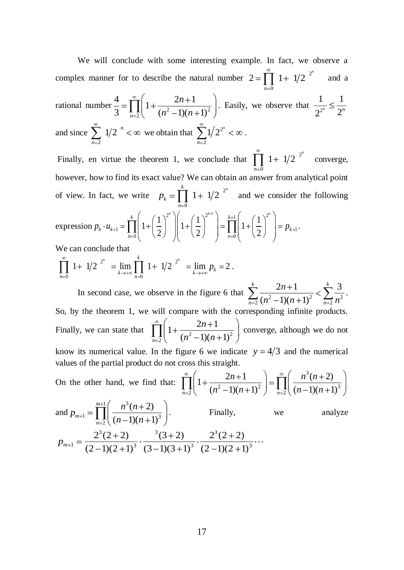We will conclude with some interesting example. In fact, we observe a complex manner for to describe the natural number  $2 = \prod_{n=1}^{\infty} 1 + 1/2^{-2}$ 0  $2 = \prod_{1}^{\infty} 1 + 1/2^{2^n}$ *n* and a rational number  $\frac{1}{3} = \prod_{n=2}^{\infty} \left(1 + \frac{2n+1}{(n^2-1)(n+1)^2}\right)$  $\frac{4}{2} = \prod_{1}^{\infty} \left( 1 + \frac{2n+1}{2} \right)$  $\frac{1}{3} = \prod_{n=2}^{n} \left( 1 + \frac{2n+1}{(n^2-1)(n+1)} \right)$ *n*  $\frac{2n+1}{n^2-1(n+1)^2}$ . Easily, we observe that  $\frac{1}{2^2}$  $1 \t1$  $2^{2^n}$ <sup>-1</sup>  $2^n$ and since 2  $1/2$ <sup>n</sup> *n* we obtain that  $\sum 1/2^2$ 2  $1/2^{2^n}$ *n* . Finally, en virtue the theorem 1, we conclude that  $\prod_{n=1}^{\infty} 1 + 1/2^{-2}$ 0  $1 + 1/2^{2^n}$ *n* converge, however, how to find its exact value? We can obtain an answer from analytical point of view. In fact, we write  $p_k = \prod_{k=1}^{k} 1 + 1/2^{-2}$ 0  $\prod_{1}^{k} 1 + 1/2^{2^{n}}$ *k n*  $p_k = \prod_{} 1 + 1/2$  and we consider the following expression  $\begin{pmatrix} 2^n \\ 2^n \end{pmatrix}$   $\begin{pmatrix} 1 \\ 2^{k+1} \end{pmatrix}$   $\begin{pmatrix} k+1 \\ k \end{pmatrix}$   $\begin{pmatrix} 1 \\ 2 \end{pmatrix}$  $\mathbf{1}_{1} = \prod_{k=1}^{k} \left(1 + \left(\frac{1}{2}\right)^{2}\right) \left(1 + \left(\frac{1}{2}\right)^{2}\right) = \prod_{k=1}^{k+1} \left(1 + \left(\frac{1}{2}\right)^{2}\right) = p_{k+1}$  $\begin{bmatrix} 1 + \left(\frac{1}{2}\right) \\ 0 \end{bmatrix}$   $\begin{bmatrix} 1 + \left(\frac{1}{2}\right) \\ 1 \end{bmatrix}$   $= \prod_{n=0}$ the  $p_k = \prod_{n=0}^{k} 1 + 1/2$  and we<br>  $1 + \left(\frac{1}{2}\right)^{2^n} \left| 1 + \left(\frac{1}{2}\right)^{2^{k+1}} \right| = \prod_{k=0}^{k+1} 1 + \left(\frac{1}{2}\right)^{2^{k+1}}$  $\prod_{n=0}^{k} \left(1 + \left(\frac{1}{2}\right)^{2^n}\right) \left(1 + \left(\frac{1}{2}\right)^{2^{k+1}}\right) = \prod_{n=0}^{k+1} \left(1 + \left(\frac{1}{2}\right)^{2^n}\right)$  $\mu_k \cdot u_{k+1} = \prod_{k=1}^k \left(1 + \left(\frac{1}{2}\right)^2\right) \left(1 + \left(\frac{1}{2}\right)^2\right) = \prod_{k=1}^{k+1} \left(1 + \left(\frac{1}{2}\right)^2\right) = p_k$  $\prod_{n=0}$   $\left(1+\left(\frac{1}{2}\right)^n\right)\left(1+\left(\frac{1}{2}\right)^n\right)=\prod_{n=0}$  $p_k \cdot u_{k+1} = \prod_{k=0}^{k} \left(1 + \left(\frac{1}{2}\right)^{2^n} \right) \left(1 + \left(\frac{1}{2}\right)^{2^{k+1}}\right) = \prod_{k=0}^{k+1} \left(1 + \left(\frac{1}{2}\right)^{2^n} \right) = p_{k+1}.$ 

We can conclude that

We can conclude that  
\n
$$
\prod_{n=0}^{\infty} 1 + 1/2^{2^n} = \lim_{k \to +\infty} \prod_{n=0}^{k} 1 + 1/2^{2^n} = \lim_{k \to +\infty} p_k = 2.
$$

In second case, we observe in the figure 6 that  $\sum_{n=2}^{\infty} \frac{2n+1}{(n^2-1)(n+1)^2} < \sum_{n=2}^{\infty} \frac{3n^2}{n^2}$  $2n+1$   $\sum_{k=1}^{k} 3$  $\frac{1}{(n^2-1)(n+1)}$  $\frac{k}{m+1}$   $\frac{k}{k}$  $\sum_{n=2}^{\infty} (n^2-1)(n+1)^2$   $\sum_{n=1}^{\infty}$ *n*  $\frac{2n+1}{n^2-1(n+1)^2} < \sum_{n=2}^{\infty} \frac{3}{n^2}.$ So, by the theorem 1, we will compare with the corresponding infinite products. Finally, we can state that  $\prod_{n=2}^{\infty} \left(1 + \frac{2n+1}{(n^2-1)(n+1)^2}\right)$  $1 + \frac{2n+1}{2}$  $\prod_{n=2}$   $\left( 1+\frac{n^2-1}{(n^2-1)(n+1)}\right)$ *n*  $\left(n^2-1(n+1)^2\right)$  converge, although we do not know its numerical value. In the figure 6 we indicate  $y = 4/3$  and the numerical values of the partial product do not cross this straight.

values of the partial product do not cross this straight.  
\nOn the other hand, we find that: 
$$
\prod_{n=2}^{\infty} \left( 1 + \frac{2n+1}{(n^2-1)(n+1)^2} \right) = \prod_{n=2}^{\infty} \left( \frac{n^3(n+2)}{(n-1)(n+1)^3} \right)
$$
\nand  $p_{m+1} = \prod_{n=2}^{m+1} \left( \frac{n^3(n+2)}{(n-1)(n+1)^3} \right)$ . Finally, we analyze\n
$$
p_{m+1} = \frac{2^3(2+2)}{(2-1)(2+1)^3} \cdot \frac{3(3+2)}{(3-1)(3+1)^3} \cdot \frac{2^3(2+2)}{(2-1)(2+1)^3} \cdots
$$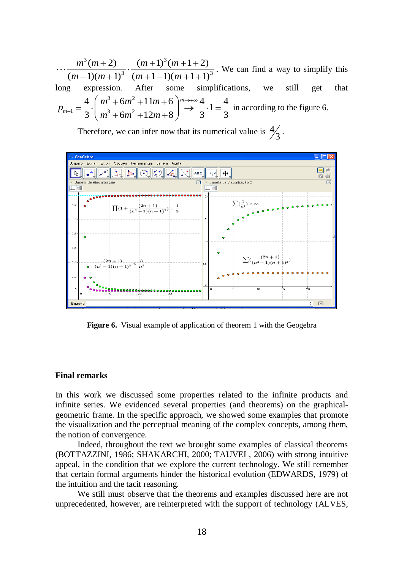$3(m+2)$   $(m+1)^3$  $\frac{(m+1)(m+1+2)}{(m+1-1)(m+1+1)^3}$  $\frac{(m+2)}{(m+1)^3(m+1+2)}$  $\frac{m^3(m+2)}{(m-1)(m+1)^3} \cdot \frac{(m+1)^3(m+1+2)}{(m+1-1)(m+1+1)}$  $m^3(m+2)$ .  $(m+1)^3(m)$  $\frac{m^3(m+2)}{m-1(m+1)^3} \cdot \frac{(m+1)^3(m+1)}{(m+1-1)(m+1)}$ . We can find a way to simplify this long expression. After some simplifications, we still get that sion.<br><sup>3</sup> + 6*m*<sup>2</sup> expression. After some simplific:<br>  $1 = \frac{4}{3} \cdot \left( \frac{m^3 + 6m^2 + 11m + 6}{m^3 + 6m^2 + 12m + 8} \right) \longrightarrow \frac{4}{3} \cdot 1 = \frac{4}{3}$  $rac{4}{3}$  $\cdot \left( \frac{m^3 + 6m^2 + 11m + 6}{m^3 + 6m^2 + 12m + 8} \right) \rightarrow \frac{4}{3} \cdot 1 = \frac{4}{3}$ ong expression. After<br>  $p_{m+1} = \frac{4}{2} \cdot \left( \frac{m^3 + 6m^2 + 11m}{m^3 + 6m^2 + 12m^2} \right)$  $m^3 + 6m^2 + 11m$ <br> $m^3 + 6m^2 + 12m$ in according to the figure 6.

Therefore, we can infer now that its numerical value is  $\frac{4}{7}$  $\frac{2}{3}$ .



**Figure 6.** Visual example of application of theorem 1 with the Geogebra

#### **Final remarks**

In this work we discussed some properties related to the infinite products and infinite series. We evidenced several properties (and theorems) on the graphicalgeometric frame. In the specific approach, we showed some examples that promote the visualization and the perceptual meaning of the complex concepts, among them, the notion of convergence.

Indeed, throughout the text we brought some examples of classical theorems (BOTTAZZINI, 1986; SHAKARCHI, 2000; TAUVEL, 2006) with strong intuitive appeal, in the condition that we explore the current technology. We still remember that certain formal arguments hinder the historical evolution (EDWARDS, 1979) of the intuition and the tacit reasoning.

We still must observe that the theorems and examples discussed here are not unprecedented, however, are reinterpreted with the support of technology (ALVES,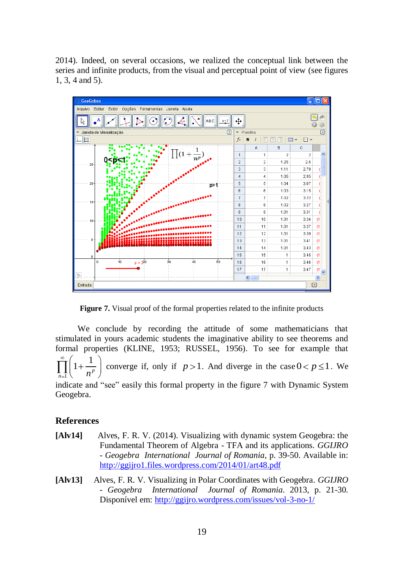2014). Indeed, on several occasions, we realized the conceptual link between the series and infinite products, from the visual and perceptual point of view (see figures 1, 3, 4 and 5).



Figure 7. Visual proof of the formal properties related to the infinite products

We conclude by recording the attitude of some mathematicians that stimulated in yours academic students the imaginative ability to see theorems and formal properties (KLINE, 1953; RUSSEL, 1956). To see for example that 1 1 1 *p*  $\prod_{n=1}^{\mathbf{n}}$   $\binom{n}{n}$ converge if, only if  $p > 1$ . And diverge in the case  $0 < p \le 1$ . We indicate and "see" easily this formal property in the figure 7 with Dynamic System Geogebra.

## **References**

- **[Alv14]** Alves, F. R. V. (2014). Visualizing with dynamic system Geogebra: the Fundamental Theorem of Algebra - TFA and its applications. *GGIJRO - Geogebra International Journal of Romania*, p. 39-50. Available in: <http://ggijro1.files.wordpress.com/2014/01/art48.pdf>
- **[Alv13]** Alves, F. R. V. Visualizing in Polar Coordinates with Geogebra. *GGIJRO - Geogebra International Journal of Romania*. 2013, p. 21-30. Disponível em: <http://ggijro.wordpress.com/issues/vol-3-no-1/>